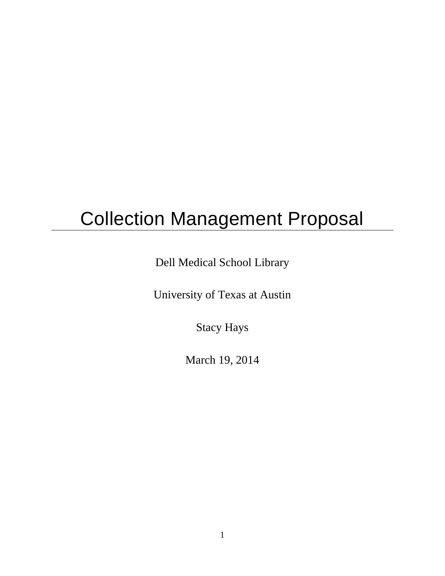# Collection Management Proposal

Dell Medical School Library

University of Texas at Austin

Stacy Hays

March 19, 2014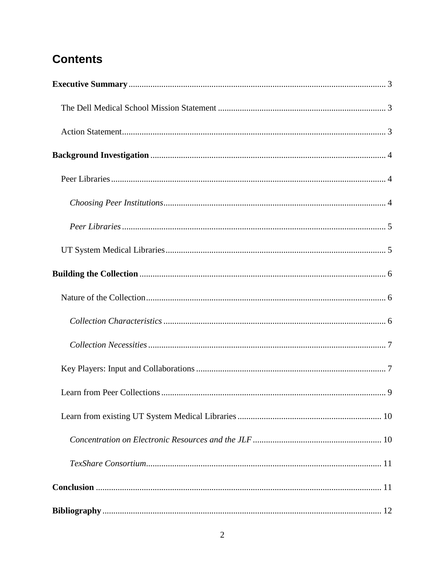## **Contents**

<span id="page-1-0"></span>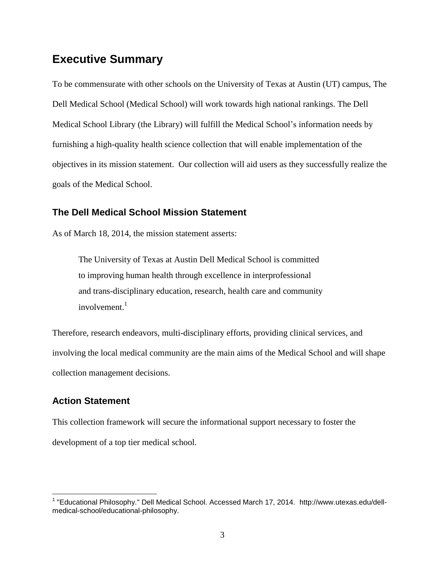### **Executive Summary**

To be commensurate with other schools on the University of Texas at Austin (UT) campus, The Dell Medical School (Medical School) will work towards high national rankings. The Dell Medical School Library (the Library) will fulfill the Medical School's information needs by furnishing a high-quality health science collection that will enable implementation of the objectives in its mission statement. Our collection will aid users as they successfully realize the goals of the Medical School.

#### <span id="page-2-0"></span>**The Dell Medical School Mission Statement**

As of March 18, 2014, the mission statement asserts:

The University of Texas at Austin Dell Medical School is committed to improving human health through excellence in interprofessional and trans-disciplinary education, research, health care and community involvement.<sup>1</sup>

Therefore, research endeavors, multi-disciplinary efforts, providing clinical services, and involving the local medical community are the main aims of the Medical School and will shape collection management decisions.

#### <span id="page-2-1"></span>**Action Statement**

 $\overline{a}$ 

This collection framework will secure the informational support necessary to foster the development of a top tier medical school.

<sup>&</sup>lt;sup>1</sup> "Educational Philosophy." Dell Medical School. Accessed March 17, 2014. http://www.utexas.edu/dellmedical-school/educational-philosophy.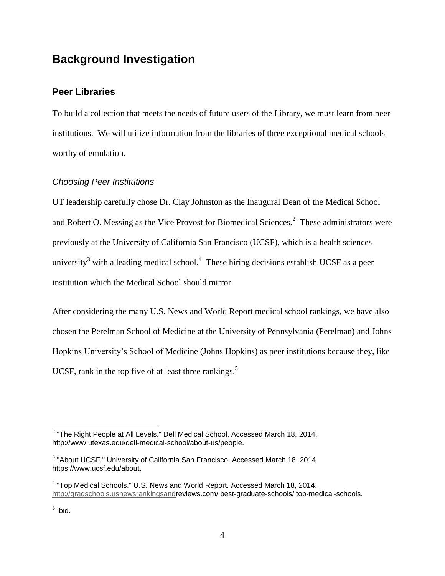## <span id="page-3-0"></span>**Background Investigation**

#### <span id="page-3-1"></span>**Peer Libraries**

To build a collection that meets the needs of future users of the Library, we must learn from peer institutions. We will utilize information from the libraries of three exceptional medical schools worthy of emulation.

#### <span id="page-3-2"></span>*Choosing Peer Institutions*

UT leadership carefully chose Dr. Clay Johnston as the Inaugural Dean of the Medical School and Robert O. Messing as the Vice Provost for Biomedical Sciences. $2$  These administrators were previously at the University of California San Francisco (UCSF), which is a health sciences university<sup>3</sup> with a leading medical school.<sup>4</sup> These hiring decisions establish UCSF as a peer institution which the Medical School should mirror.

After considering the many U.S. News and World Report medical school rankings, we have also chosen the Perelman School of Medicine at the University of Pennsylvania (Perelman) and Johns Hopkins University's School of Medicine (Johns Hopkins) as peer institutions because they, like UCSF, rank in the top five of at least three rankings. $5$ 

 2 "The Right People at All Levels." Dell Medical School. Accessed March 18, 2014. http://www.utexas.edu/dell-medical-school/about-us/people.

 $3$  "About UCSF." University of California San Francisco. Accessed March 18, 2014. https://www.ucsf.edu/about.

<sup>&</sup>lt;sup>4</sup> "Top Medical Schools." U.S. News and World Report. Accessed March 18, 2014. [http://gradschools.usnewsrankingsandr](http://gradschools.usnewsrankingsand/)eviews.com/ best-graduate-schools/ top-medical-schools.

<sup>&</sup>lt;sup>5</sup> Ibid.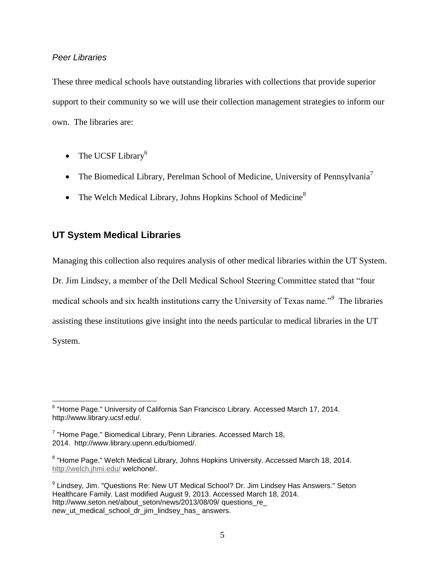#### <span id="page-4-0"></span>*Peer Libraries*

These three medical schools have outstanding libraries with collections that provide superior support to their community so we will use their collection management strategies to inform our own. The libraries are:

- The UCSF Library<sup>6</sup>
- The Biomedical Library, Perelman School of Medicine, University of Pennsylvania<sup>7</sup>
- The Welch Medical Library, Johns Hopkins School of Medicine<sup>8</sup>

#### <span id="page-4-1"></span>**UT System Medical Libraries**

Managing this collection also requires analysis of other medical libraries within the UT System. Dr. Jim Lindsey, a member of the Dell Medical School Steering Committee stated that "four medical schools and six health institutions carry the University of Texas name."<sup>9</sup> The libraries assisting these institutions give insight into the needs particular to medical libraries in the UT System.

 6 "Home Page." University of California San Francisco Library. Accessed March 17, 2014. http://www.library.ucsf.edu/.

<sup>&</sup>lt;sup>7</sup> "Home Page." Biomedical Library, Penn Libraries. Accessed March 18, 2014. http://www.library.upenn.edu/biomed/.

<sup>&</sup>lt;sup>8</sup> "Home Page." Welch Medical Library, Johns Hopkins University. Accessed March 18, 2014. <http://welch.jhmi.edu/> welchone/.

<sup>&</sup>lt;sup>9</sup> Lindsey, Jim. "Questions Re: New UT Medical School? Dr. Jim Lindsey Has Answers." Seton Healthcare Family. Last modified August 9, 2013. Accessed March 18, 2014. http://www.seton.net/about\_seton/news/2013/08/09/ questions\_re\_ new ut medical school dr jim lindsey has answers.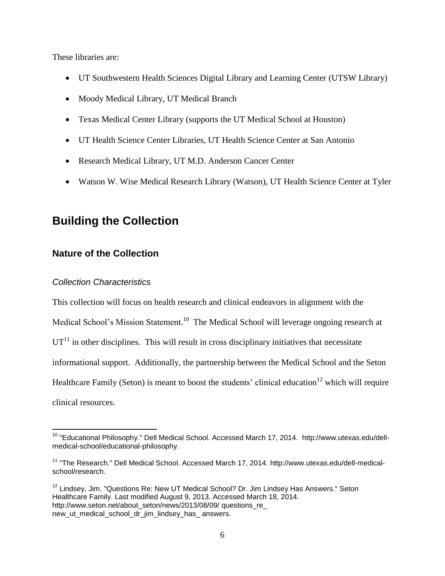These libraries are:

- UT Southwestern Health Sciences Digital Library and Learning Center (UTSW Library)
- Moody Medical Library, UT Medical Branch
- Texas Medical Center Library (supports the UT Medical School at Houston)
- UT Health Science Center Libraries, UT Health Science Center at San Antonio
- Research Medical Library, UT M.D. Anderson Cancer Center
- Watson W. Wise Medical Research Library (Watson), UT Health Science Center at Tyler

## <span id="page-5-0"></span>**Building the Collection**

#### <span id="page-5-1"></span>**Nature of the Collection**

#### <span id="page-5-2"></span>*Collection Characteristics*

 $\overline{a}$ 

This collection will focus on health research and clinical endeavors in alignment with the Medical School's Mission Statement.<sup>10</sup> The Medical School will leverage ongoing research at  $UT<sup>11</sup>$  in other disciplines. This will result in cross disciplinary initiatives that necessitate informational support. Additionally, the partnership between the Medical School and the Seton Healthcare Family (Seton) is meant to boost the students' clinical education<sup>12</sup> which will require clinical resources.

<sup>&</sup>lt;sup>10</sup> "Educational Philosophy." Dell Medical School. Accessed March 17, 2014. http://www.utexas.edu/dellmedical-school/educational-philosophy.

<sup>&</sup>lt;sup>11</sup> "The Research." Dell Medical School. Accessed March 17, 2014. http://www.utexas.edu/dell-medicalschool/research.

 $12$  Lindsey, Jim. "Questions Re: New UT Medical School? Dr. Jim Lindsey Has Answers." Seton Healthcare Family. Last modified August 9, 2013. Accessed March 18, 2014. http://www.seton.net/about\_seton/news/2013/08/09/ questions\_re new\_ut\_medical\_school\_dr\_jim\_lindsey\_has\_ answers.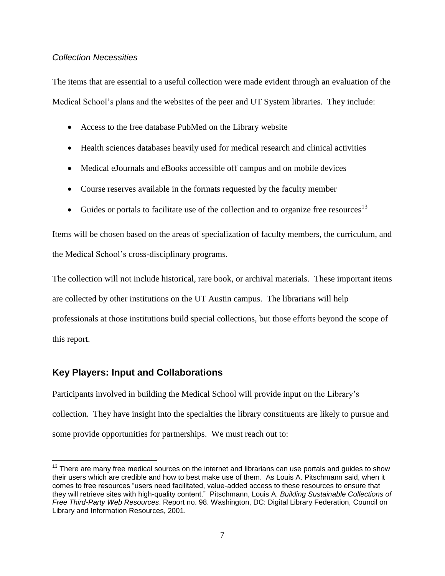#### <span id="page-6-0"></span>*Collection Necessities*

The items that are essential to a useful collection were made evident through an evaluation of the Medical School's plans and the websites of the peer and UT System libraries. They include:

- Access to the free database PubMed on the Library website
- Health sciences databases heavily used for medical research and clinical activities
- Medical eJournals and eBooks accessible off campus and on mobile devices
- Course reserves available in the formats requested by the faculty member
- Guides or portals to facilitate use of the collection and to organize free resources<sup>13</sup>

Items will be chosen based on the areas of specialization of faculty members, the curriculum, and the Medical School's cross-disciplinary programs.

The collection will not include historical, rare book, or archival materials. These important items are collected by other institutions on the UT Austin campus. The librarians will help professionals at those institutions build special collections, but those efforts beyond the scope of this report.

#### <span id="page-6-1"></span>**Key Players: Input and Collaborations**

Participants involved in building the Medical School will provide input on the Library's collection. They have insight into the specialties the library constituents are likely to pursue and some provide opportunities for partnerships. We must reach out to:

 $\overline{a}$  $13$  There are many free medical sources on the internet and librarians can use portals and guides to show their users which are credible and how to best make use of them. As Louis A. Pitschmann said, when it comes to free resources "users need facilitated, value-added access to these resources to ensure that they will retrieve sites with high-quality content." Pitschmann, Louis A. *Building Sustainable Collections of Free Third-Party Web Resources*. Report no. 98. Washington, DC: Digital Library Federation, Council on Library and Information Resources, 2001.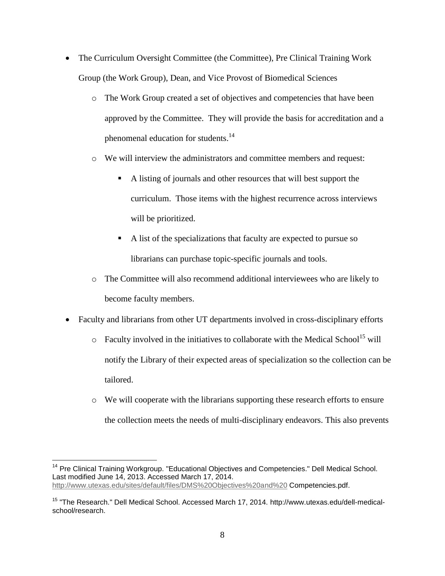- The Curriculum Oversight Committee (the Committee), Pre Clinical Training Work Group (the Work Group), Dean, and Vice Provost of Biomedical Sciences
	- o The Work Group created a set of objectives and competencies that have been approved by the Committee. They will provide the basis for accreditation and a phenomenal education for students.<sup>14</sup>
	- o We will interview the administrators and committee members and request:
		- A listing of journals and other resources that will best support the curriculum. Those items with the highest recurrence across interviews will be prioritized.
		- A list of the specializations that faculty are expected to pursue so librarians can purchase topic-specific journals and tools.
	- o The Committee will also recommend additional interviewees who are likely to become faculty members.
- Faculty and librarians from other UT departments involved in cross-disciplinary efforts
	- $\circ$  Faculty involved in the initiatives to collaborate with the Medical School<sup>15</sup> will notify the Library of their expected areas of specialization so the collection can be tailored.
	- o We will cooperate with the librarians supporting these research efforts to ensure the collection meets the needs of multi-disciplinary endeavors. This also prevents

 $\overline{a}$ 

<sup>&</sup>lt;sup>14</sup> Pre Clinical Training Workgroup. "Educational Objectives and Competencies." Dell Medical School. Last modified June 14, 2013. Accessed March 17, 2014. [http://www.utexas.edu/sites/default/files/DMS%20Objectives%20and%20](http://www.utexas.edu/sites/default/files/DMS%20Objectives%20and) Competencies.pdf.

<sup>&</sup>lt;sup>15</sup> "The Research." Dell Medical School. Accessed March 17, 2014. http://www.utexas.edu/dell-medicalschool/research.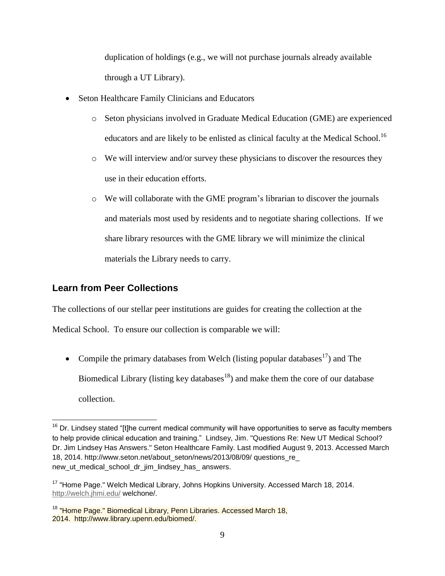duplication of holdings (e.g., we will not purchase journals already available through a UT Library).

- Seton Healthcare Family Clinicians and Educators
	- o Seton physicians involved in Graduate Medical Education (GME) are experienced educators and are likely to be enlisted as clinical faculty at the Medical School.<sup>16</sup>
	- o We will interview and/or survey these physicians to discover the resources they use in their education efforts.
	- o We will collaborate with the GME program's librarian to discover the journals and materials most used by residents and to negotiate sharing collections. If we share library resources with the GME library we will minimize the clinical materials the Library needs to carry.

#### <span id="page-8-0"></span>**Learn from Peer Collections**

 $\overline{a}$ 

The collections of our stellar peer institutions are guides for creating the collection at the

Medical School. To ensure our collection is comparable we will:

• Compile the primary databases from Welch (listing popular databases<sup>17</sup>) and The Biomedical Library (listing key databases<sup>18</sup>) and make them the core of our database collection.

 $16$  Dr. Lindsey stated "[t]he current medical community will have opportunities to serve as faculty members to help provide clinical education and training." Lindsey, Jim. "Questions Re: New UT Medical School? Dr. Jim Lindsey Has Answers." Seton Healthcare Family. Last modified August 9, 2013. Accessed March 18, 2014. http://www.seton.net/about\_seton/news/2013/08/09/ questions\_re\_ new ut medical school dr jim lindsey has answers.

 $17$  "Home Page." Welch Medical Library, Johns Hopkins University. Accessed March 18, 2014. <http://welch.jhmi.edu/> welchone/.

<sup>&</sup>lt;sup>18</sup> "Home Page." Biomedical Library, Penn Libraries. Accessed March 18, 2014. http://www.library.upenn.edu/biomed/.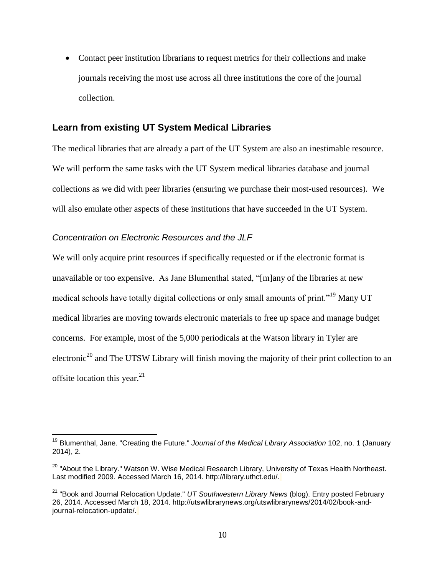Contact peer institution librarians to request metrics for their collections and make journals receiving the most use across all three institutions the core of the journal collection.

#### <span id="page-9-0"></span>**Learn from existing UT System Medical Libraries**

The medical libraries that are already a part of the UT System are also an inestimable resource. We will perform the same tasks with the UT System medical libraries database and journal collections as we did with peer libraries (ensuring we purchase their most-used resources). We will also emulate other aspects of these institutions that have succeeded in the UT System.

#### <span id="page-9-1"></span>*Concentration on Electronic Resources and the JLF*

 $\overline{a}$ 

We will only acquire print resources if specifically requested or if the electronic format is unavailable or too expensive. As Jane Blumenthal stated, "[m]any of the libraries at new medical schools have totally digital collections or only small amounts of print."<sup>19</sup> Many UT medical libraries are moving towards electronic materials to free up space and manage budget concerns. For example, most of the 5,000 periodicals at the Watson library in Tyler are electronic<sup>20</sup> and The UTSW Library will finish moving the majority of their print collection to an offsite location this year. $21$ 

<sup>19</sup> Blumenthal, Jane. "Creating the Future." *Journal of the Medical Library Association* 102, no. 1 (January 2014), 2.

<sup>&</sup>lt;sup>20</sup> "About the Library." Watson W. Wise Medical Research Library, University of Texas Health Northeast. Last modified 2009. Accessed March 16, 2014. http://library.uthct.edu/.

<sup>21</sup> "Book and Journal Relocation Update." *UT Southwestern Library News* (blog). Entry posted February 26, 2014. Accessed March 18, 2014. http://utswlibrarynews.org/utswlibrarynews/2014/02/book-andjournal-relocation-update/.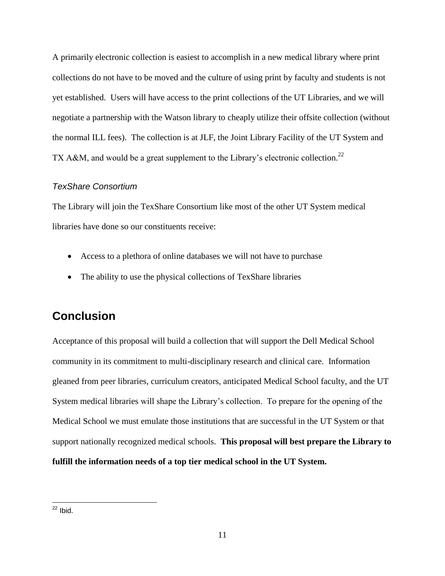A primarily electronic collection is easiest to accomplish in a new medical library where print collections do not have to be moved and the culture of using print by faculty and students is not yet established. Users will have access to the print collections of the UT Libraries, and we will negotiate a partnership with the Watson library to cheaply utilize their offsite collection (without the normal ILL fees). The collection is at JLF, the Joint Library Facility of the UT System and TX A&M, and would be a great supplement to the Library's electronic collection.<sup>22</sup>

#### <span id="page-10-0"></span>*TexShare Consortium*

The Library will join the TexShare Consortium like most of the other UT System medical libraries have done so our constituents receive:

- Access to a plethora of online databases we will not have to purchase
- The ability to use the physical collections of TexShare libraries

## <span id="page-10-1"></span>**Conclusion**

Acceptance of this proposal will build a collection that will support the Dell Medical School community in its commitment to multi-disciplinary research and clinical care. Information gleaned from peer libraries, curriculum creators, anticipated Medical School faculty, and the UT System medical libraries will shape the Library's collection. To prepare for the opening of the Medical School we must emulate those institutions that are successful in the UT System or that support nationally recognized medical schools. **This proposal will best prepare the Library to fulfill the information needs of a top tier medical school in the UT System.**

 $\overline{a}$  $22$  Ibid.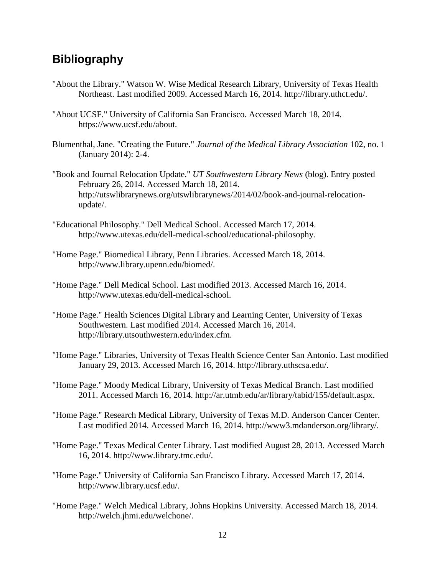## <span id="page-11-0"></span>**Bibliography**

- "About the Library." Watson W. Wise Medical Research Library, University of Texas Health Northeast. Last modified 2009. Accessed March 16, 2014. http://library.uthct.edu/.
- "About UCSF." University of California San Francisco. Accessed March 18, 2014. https://www.ucsf.edu/about.
- Blumenthal, Jane. "Creating the Future." *Journal of the Medical Library Association* 102, no. 1 (January 2014): 2-4.
- "Book and Journal Relocation Update." *UT Southwestern Library News* (blog). Entry posted February 26, 2014. Accessed March 18, 2014. http://utswlibrarynews.org/utswlibrarynews/2014/02/book-and-journal-relocationupdate/.
- "Educational Philosophy." Dell Medical School. Accessed March 17, 2014. http://www.utexas.edu/dell-medical-school/educational-philosophy.
- "Home Page." Biomedical Library, Penn Libraries. Accessed March 18, 2014. http://www.library.upenn.edu/biomed/.
- "Home Page." Dell Medical School. Last modified 2013. Accessed March 16, 2014. http://www.utexas.edu/dell-medical-school.
- "Home Page." Health Sciences Digital Library and Learning Center, University of Texas Southwestern. Last modified 2014. Accessed March 16, 2014. http://library.utsouthwestern.edu/index.cfm.
- "Home Page." Libraries, University of Texas Health Science Center San Antonio. Last modified January 29, 2013. Accessed March 16, 2014. http://library.uthscsa.edu/.
- "Home Page." Moody Medical Library, University of Texas Medical Branch. Last modified 2011. Accessed March 16, 2014. http://ar.utmb.edu/ar/library/tabid/155/default.aspx.
- "Home Page." Research Medical Library, University of Texas M.D. Anderson Cancer Center. Last modified 2014. Accessed March 16, 2014. http://www3.mdanderson.org/library/.
- "Home Page." Texas Medical Center Library. Last modified August 28, 2013. Accessed March 16, 2014. http://www.library.tmc.edu/.
- "Home Page." University of California San Francisco Library. Accessed March 17, 2014. http://www.library.ucsf.edu/.
- "Home Page." Welch Medical Library, Johns Hopkins University. Accessed March 18, 2014. http://welch.jhmi.edu/welchone/.